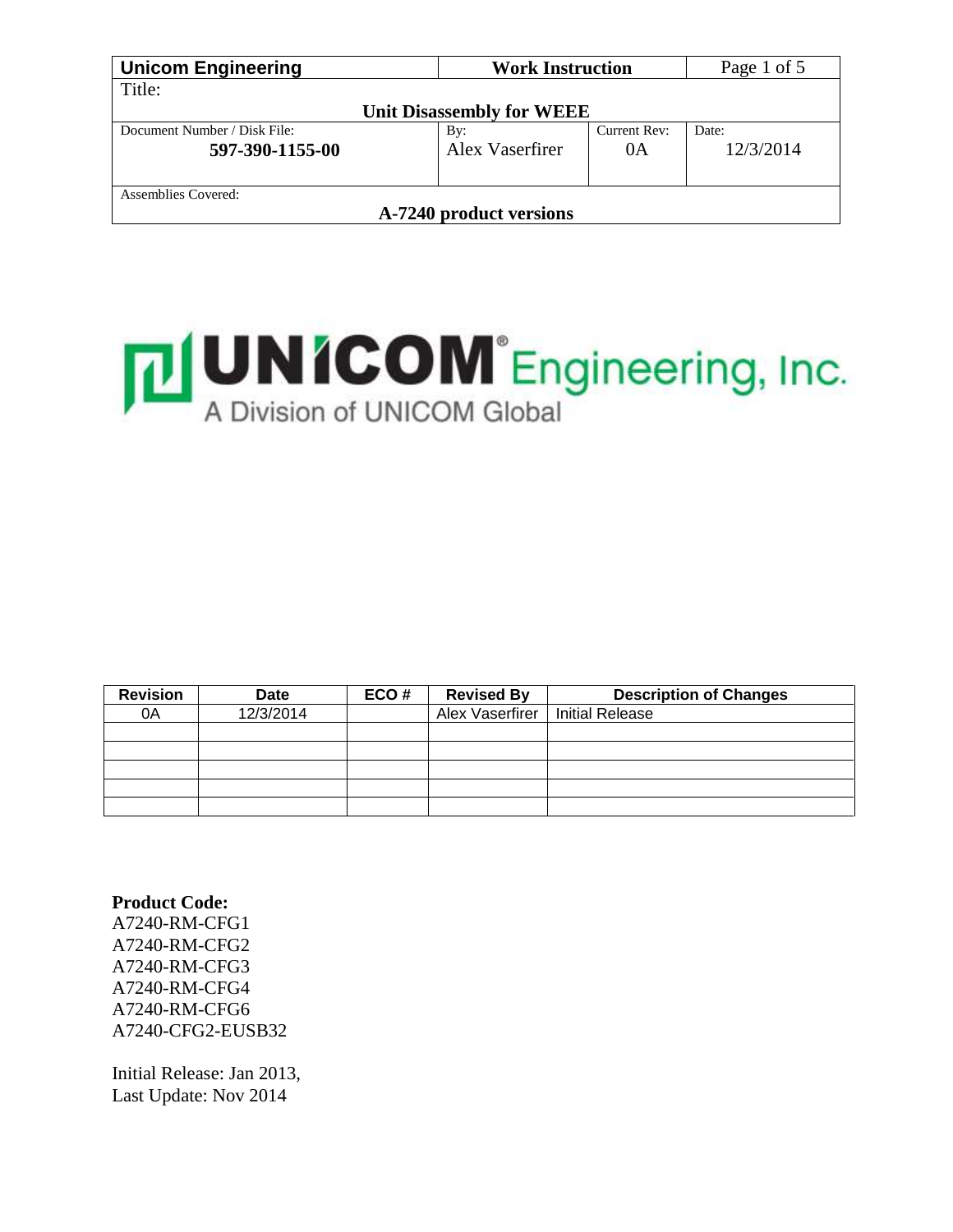| <b>Unicom Engineering</b>    | <b>Work Instruction</b>          | Page 1 of 5  |           |  |
|------------------------------|----------------------------------|--------------|-----------|--|
| Title:                       |                                  |              |           |  |
|                              | <b>Unit Disassembly for WEEE</b> |              |           |  |
| Document Number / Disk File: | By:                              | Current Rev: | Date:     |  |
| 597-390-1155-00              | Alex Vaserfirer                  | 0A           | 12/3/2014 |  |
|                              |                                  |              |           |  |
| Assemblies Covered:          |                                  |              |           |  |
| A-7240 product versions      |                                  |              |           |  |



| <b>Revision</b> | <b>Date</b> | ECO# | <b>Revised By</b> | <b>Description of Changes</b> |
|-----------------|-------------|------|-------------------|-------------------------------|
| 0A              | 12/3/2014   |      | Alex Vaserfirer   | <b>Initial Release</b>        |
|                 |             |      |                   |                               |
|                 |             |      |                   |                               |
|                 |             |      |                   |                               |
|                 |             |      |                   |                               |
|                 |             |      |                   |                               |

**Product Code:** A7240-RM-CFG1 A7240-RM-CFG2 A7240-RM-CFG3 A7240-RM-CFG4 A7240-RM-CFG6 A7240-CFG2-EUSB32

Initial Release: Jan 2013, Last Update: Nov 2014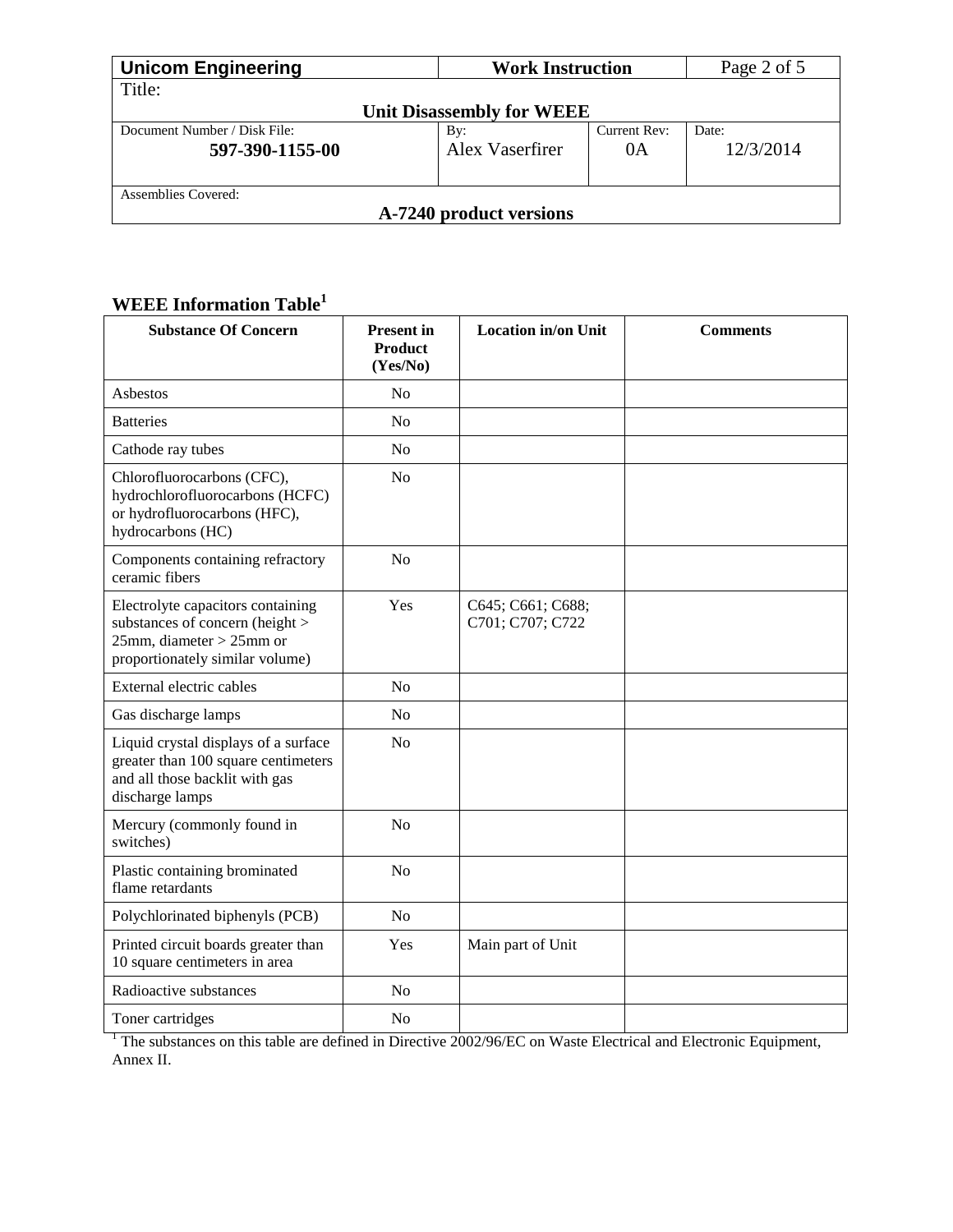| <b>Unicom Engineering</b>    | <b>Work Instruction</b>          | Page 2 of 5  |           |  |
|------------------------------|----------------------------------|--------------|-----------|--|
| Title:                       |                                  |              |           |  |
|                              | <b>Unit Disassembly for WEEE</b> |              |           |  |
| Document Number / Disk File: | By:                              | Current Rev: | Date:     |  |
| 597-390-1155-00              | Alex Vaserfirer                  | 0A           | 12/3/2014 |  |
| Assemblies Covered:          |                                  |              |           |  |
| A-7240 product versions      |                                  |              |           |  |

# **WEEE Information Table<sup>1</sup>**

| <b>Substance Of Concern</b>                                                                                                               | <b>Present</b> in<br><b>Product</b><br>(Yes/No) | <b>Location in/on Unit</b>            | <b>Comments</b> |
|-------------------------------------------------------------------------------------------------------------------------------------------|-------------------------------------------------|---------------------------------------|-----------------|
| Asbestos                                                                                                                                  | N <sub>o</sub>                                  |                                       |                 |
| <b>Batteries</b>                                                                                                                          | No                                              |                                       |                 |
| Cathode ray tubes                                                                                                                         | No                                              |                                       |                 |
| Chlorofluorocarbons (CFC),<br>hydrochlorofluorocarbons (HCFC)<br>or hydrofluorocarbons (HFC),<br>hydrocarbons (HC)                        | N <sub>o</sub>                                  |                                       |                 |
| Components containing refractory<br>ceramic fibers                                                                                        | N <sub>o</sub>                                  |                                       |                 |
| Electrolyte capacitors containing<br>substances of concern (height ><br>$25$ mm, diameter > $25$ mm or<br>proportionately similar volume) | Yes                                             | C645; C661; C688;<br>C701; C707; C722 |                 |
| External electric cables                                                                                                                  | N <sub>o</sub>                                  |                                       |                 |
| Gas discharge lamps                                                                                                                       | N <sub>o</sub>                                  |                                       |                 |
| Liquid crystal displays of a surface<br>greater than 100 square centimeters<br>and all those backlit with gas<br>discharge lamps          | No                                              |                                       |                 |
| Mercury (commonly found in<br>switches)                                                                                                   | No                                              |                                       |                 |
| Plastic containing brominated<br>flame retardants                                                                                         | N <sub>o</sub>                                  |                                       |                 |
| Polychlorinated biphenyls (PCB)                                                                                                           | N <sub>o</sub>                                  |                                       |                 |
| Printed circuit boards greater than<br>10 square centimeters in area                                                                      | Yes                                             | Main part of Unit                     |                 |
| Radioactive substances                                                                                                                    | N <sub>o</sub>                                  |                                       |                 |
| Toner cartridges                                                                                                                          | N <sub>0</sub>                                  |                                       |                 |

 $<sup>1</sup>$  The substances on this table are defined in Directive 2002/96/EC on Waste Electrical and Electronic Equipment,</sup> Annex II.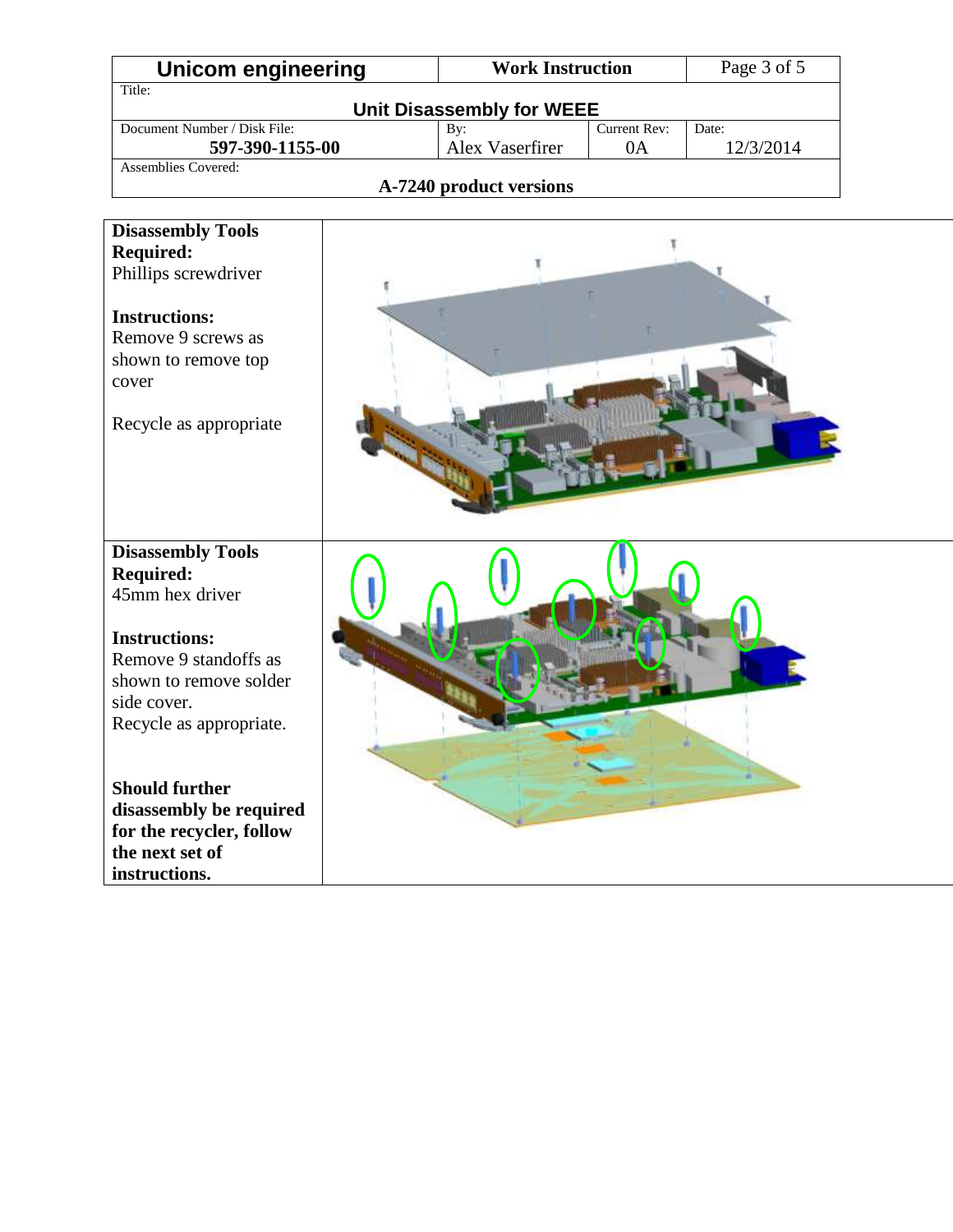| <b>Work Instruction</b><br>Unicom engineering                |                 | Page 3 of 5 |           |  |  |  |
|--------------------------------------------------------------|-----------------|-------------|-----------|--|--|--|
| Title:                                                       |                 |             |           |  |  |  |
| <b>Unit Disassembly for WEEE</b>                             |                 |             |           |  |  |  |
| Document Number / Disk File:<br>Current Rev:<br>Date:<br>By: |                 |             |           |  |  |  |
| 597-390-1155-00                                              | Alex Vaserfirer | 0A          | 12/3/2014 |  |  |  |
| Assemblies Covered:                                          |                 |             |           |  |  |  |
| A-7240 product versions                                      |                 |             |           |  |  |  |
|                                                              |                 |             |           |  |  |  |
| Disassambly Taals                                            |                 |             |           |  |  |  |

| <b>Disassembly Tools</b><br><b>Required:</b><br>45mm hex driver                                                                                                                                                      |  |
|----------------------------------------------------------------------------------------------------------------------------------------------------------------------------------------------------------------------|--|
| <b>Instructions:</b><br>Remove 9 standoffs as<br>shown to remove solder<br>side cover.<br>Recycle as appropriate.<br><b>Should further</b><br>disassembly be required<br>for the recycler, follow<br>the next set of |  |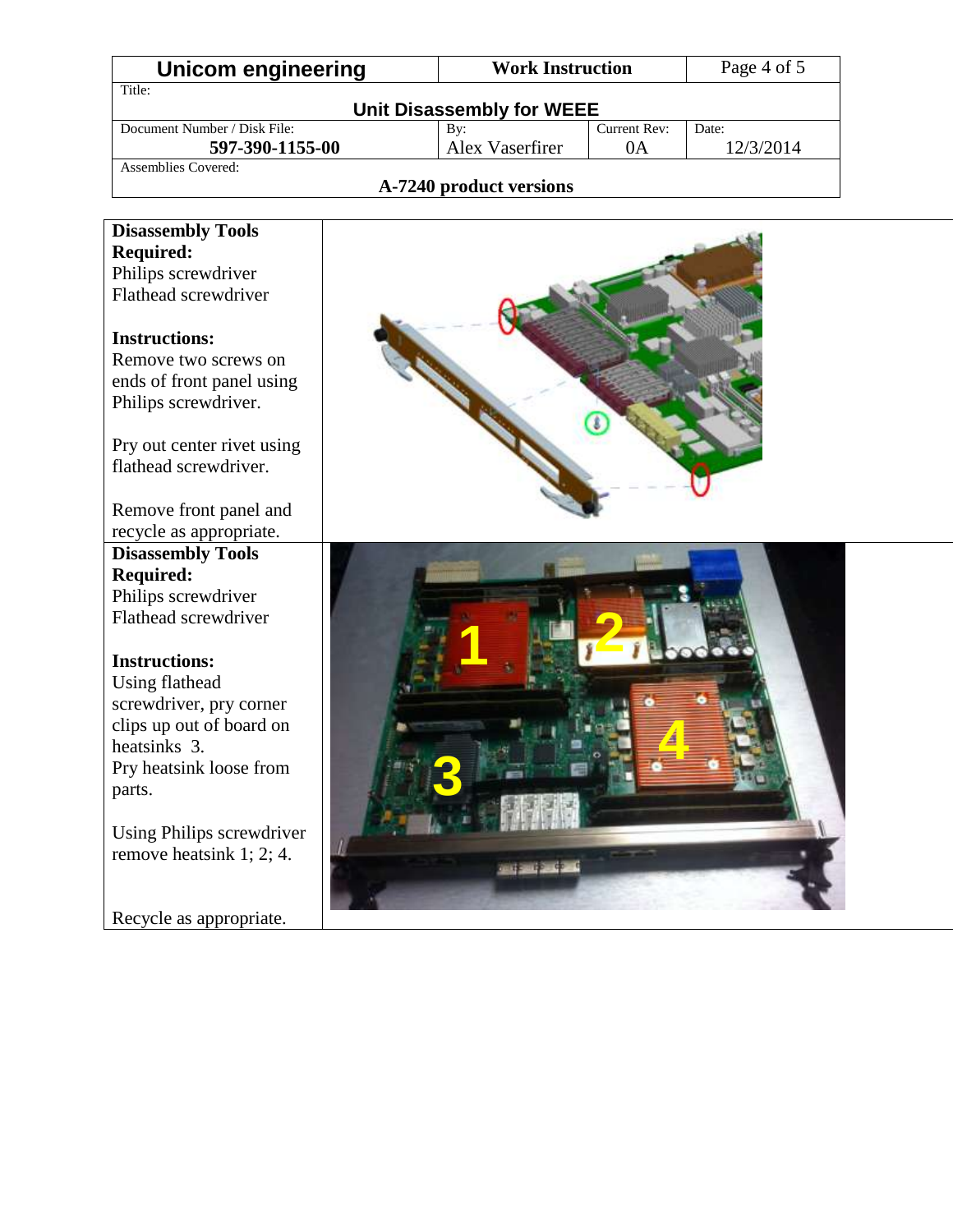| Unicom engineering           | <b>Work Instruction</b> |              | Page 4 of 5 |  |  |
|------------------------------|-------------------------|--------------|-------------|--|--|
| Title:                       |                         |              |             |  |  |
| Unit Disassembly for WEEE    |                         |              |             |  |  |
| Document Number / Disk File: | By:                     | Current Rev: | Date:       |  |  |
| 597-390-1155-00              | Alex Vaserfirer         | 0A           | 12/3/2014   |  |  |
| Assemblies Covered:          |                         |              |             |  |  |
| A-7240 product versions      |                         |              |             |  |  |

#### **A-7240 product versions**

| <b>Disassembly Tools</b>                            |  |
|-----------------------------------------------------|--|
| <b>Required:</b>                                    |  |
| Philips screwdriver                                 |  |
| Flathead screwdriver                                |  |
| <b>Instructions:</b><br>Remove two screws on        |  |
|                                                     |  |
| ends of front panel using                           |  |
| Philips screwdriver.                                |  |
| Pry out center rivet using<br>flathead screwdriver. |  |
|                                                     |  |
| Remove front panel and                              |  |
| recycle as appropriate.                             |  |
| <b>Disassembly Tools</b>                            |  |
| <b>Required:</b>                                    |  |
| Philips screwdriver                                 |  |
| Flathead screwdriver                                |  |
| <b>Instructions:</b>                                |  |
| <b>Using flathead</b>                               |  |
| screwdriver, pry corner                             |  |
| clips up out of board on                            |  |
| heatsinks 3.                                        |  |
| Pry heatsink loose from                             |  |
| parts.                                              |  |
|                                                     |  |
| Using Philips screwdriver                           |  |
| remove heatsink 1; 2; 4.                            |  |
|                                                     |  |
|                                                     |  |
| Recycle as appropriate.                             |  |